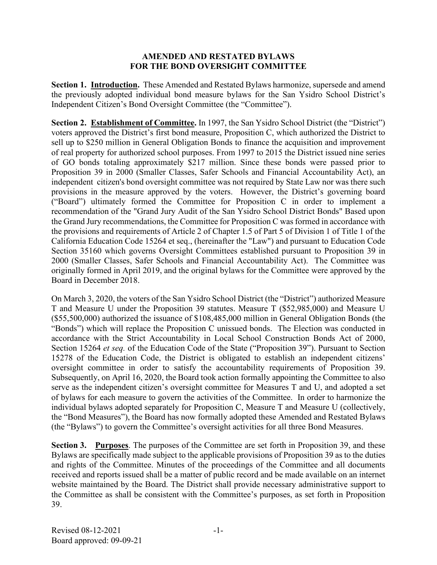## **AMENDED AND RESTATED BYLAWS FOR THE BOND OVERSIGHT COMMITTEE**

**Section 1. Introduction.** These Amended and Restated Bylaws harmonize, supersede and amend the previously adopted individual bond measure bylaws for the San Ysidro School District's Independent Citizen's Bond Oversight Committee (the "Committee").

**Section 2. Establishment of Committee.** In 1997, the San Ysidro School District (the "District") voters approved the District's first bond measure, Proposition C, which authorized the District to sell up to \$250 million in General Obligation Bonds to finance the acquisition and improvement of real property for authorized school purposes. From 1997 to 2015 the District issued nine series of GO bonds totaling approximately \$217 million. Since these bonds were passed prior to Proposition 39 in 2000 (Smaller Classes, Safer Schools and Financial Accountability Act), an independent citizen's bond oversight committee was not required by State Law nor was there such provisions in the measure approved by the voters. However, the District's governing board ("Board") ultimately formed the Committee for Proposition C in order to implement a recommendation of the "Grand Jury Audit of the San Ysidro School District Bonds" Based upon the Grand Jury recommendations, the Committee for Proposition C was formed in accordance with the provisions and requirements of Article 2 of Chapter 1.5 of Part 5 of Division 1 of Title 1 of the California Education Code 15264 et seq., (hereinafter the "Law") and pursuant to Education Code Section 35160 which governs Oversight Committees established pursuant to Proposition 39 in 2000 (Smaller Classes, Safer Schools and Financial Accountability Act). The Committee was originally formed in April 2019, and the original bylaws for the Committee were approved by the Board in December 2018.

On March 3, 2020, the voters of the San Ysidro School District (the "District") authorized Measure T and Measure U under the Proposition 39 statutes. Measure T (\$52,985,000) and Measure U (\$55,500,000) authorized the issuance of \$108,485,000 million in General Obligation Bonds (the "Bonds") which will replace the Proposition C unissued bonds. The Election was conducted in accordance with the Strict Accountability in Local School Construction Bonds Act of 2000, Section 15264 *et seq.* of the Education Code of the State ("Proposition 39"). Pursuant to Section 15278 of the Education Code, the District is obligated to establish an independent citizens' oversight committee in order to satisfy the accountability requirements of Proposition 39. Subsequently, on April 16, 2020, the Board took action formally appointing the Committee to also serve as the independent citizen's oversight committee for Measures T and U, and adopted a set of bylaws for each measure to govern the activities of the Committee. In order to harmonize the individual bylaws adopted separately for Proposition C, Measure T and Measure U (collectively, the "Bond Measures"), the Board has now formally adopted these Amended and Restated Bylaws (the "Bylaws") to govern the Committee's oversight activities for all three Bond Measures.

**Section 3. Purposes**. The purposes of the Committee are set forth in Proposition 39, and these Bylaws are specifically made subject to the applicable provisions of Proposition 39 as to the duties and rights of the Committee. Minutes of the proceedings of the Committee and all documents received and reports issued shall be a matter of public record and be made available on an internet website maintained by the Board. The District shall provide necessary administrative support to the Committee as shall be consistent with the Committee's purposes, as set forth in Proposition 39.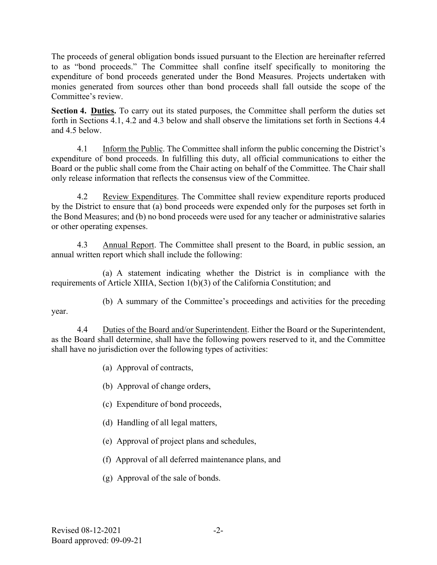The proceeds of general obligation bonds issued pursuant to the Election are hereinafter referred to as "bond proceeds." The Committee shall confine itself specifically to monitoring the expenditure of bond proceeds generated under the Bond Measures. Projects undertaken with monies generated from sources other than bond proceeds shall fall outside the scope of the Committee's review.

**Section 4. Duties.** To carry out its stated purposes, the Committee shall perform the duties set forth in Sections 4.1, 4.2 and 4.3 below and shall observe the limitations set forth in Sections 4.4 and 4.5 below.

4.1 Inform the Public. The Committee shall inform the public concerning the District's expenditure of bond proceeds. In fulfilling this duty, all official communications to either the Board or the public shall come from the Chair acting on behalf of the Committee. The Chair shall only release information that reflects the consensus view of the Committee.

4.2 Review Expenditures. The Committee shall review expenditure reports produced by the District to ensure that (a) bond proceeds were expended only for the purposes set forth in the Bond Measures; and (b) no bond proceeds were used for any teacher or administrative salaries or other operating expenses.

4.3 Annual Report. The Committee shall present to the Board, in public session, an annual written report which shall include the following:

(a) A statement indicating whether the District is in compliance with the requirements of Article XIIIA, Section 1(b)(3) of the California Constitution; and

(b) A summary of the Committee's proceedings and activities for the preceding

4.4 Duties of the Board and/or Superintendent. Either the Board or the Superintendent, as the Board shall determine, shall have the following powers reserved to it, and the Committee shall have no jurisdiction over the following types of activities:

(a) Approval of contracts,

- (b) Approval of change orders,
- (c) Expenditure of bond proceeds,
- (d) Handling of all legal matters,
- (e) Approval of project plans and schedules,
- (f) Approval of all deferred maintenance plans, and
- (g) Approval of the sale of bonds.

year.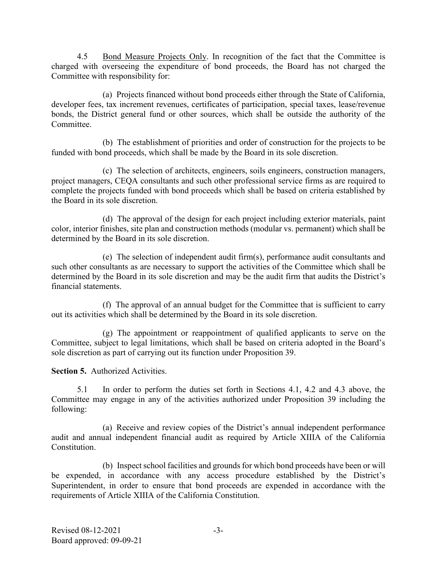4.5 Bond Measure Projects Only. In recognition of the fact that the Committee is charged with overseeing the expenditure of bond proceeds, the Board has not charged the Committee with responsibility for:

(a) Projects financed without bond proceeds either through the State of California, developer fees, tax increment revenues, certificates of participation, special taxes, lease/revenue bonds, the District general fund or other sources, which shall be outside the authority of the Committee.

(b) The establishment of priorities and order of construction for the projects to be funded with bond proceeds, which shall be made by the Board in its sole discretion.

(c) The selection of architects, engineers, soils engineers, construction managers, project managers, CEQA consultants and such other professional service firms as are required to complete the projects funded with bond proceeds which shall be based on criteria established by the Board in its sole discretion.

(d) The approval of the design for each project including exterior materials, paint color, interior finishes, site plan and construction methods (modular vs. permanent) which shall be determined by the Board in its sole discretion.

(e) The selection of independent audit firm(s), performance audit consultants and such other consultants as are necessary to support the activities of the Committee which shall be determined by the Board in its sole discretion and may be the audit firm that audits the District's financial statements.

(f) The approval of an annual budget for the Committee that is sufficient to carry out its activities which shall be determined by the Board in its sole discretion.

(g) The appointment or reappointment of qualified applicants to serve on the Committee, subject to legal limitations, which shall be based on criteria adopted in the Board's sole discretion as part of carrying out its function under Proposition 39.

**Section 5.** Authorized Activities.

5.1 In order to perform the duties set forth in Sections 4.1, 4.2 and 4.3 above, the Committee may engage in any of the activities authorized under Proposition 39 including the following:

(a) Receive and review copies of the District's annual independent performance audit and annual independent financial audit as required by Article XIIIA of the California Constitution.

(b) Inspect school facilities and grounds for which bond proceeds have been or will be expended, in accordance with any access procedure established by the District's Superintendent, in order to ensure that bond proceeds are expended in accordance with the requirements of Article XIIIA of the California Constitution.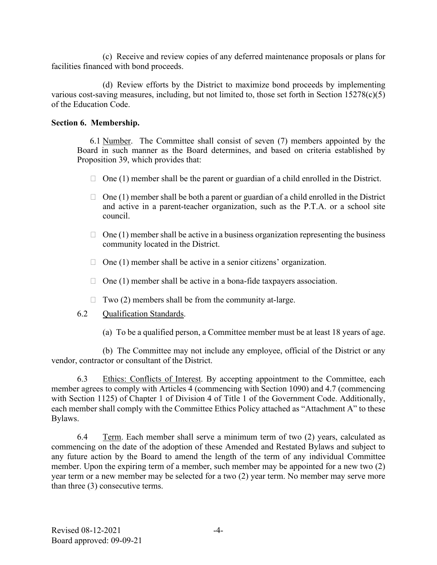(c) Receive and review copies of any deferred maintenance proposals or plans for facilities financed with bond proceeds.

(d) Review efforts by the District to maximize bond proceeds by implementing various cost-saving measures, including, but not limited to, those set forth in Section 15278(c)(5) of the Education Code.

### **Section 6. Membership.**

6.1 Number. The Committee shall consist of seven (7) members appointed by the Board in such manner as the Board determines, and based on criteria established by Proposition 39, which provides that:

- $\Box$  One (1) member shall be the parent or guardian of a child enrolled in the District.
- $\Box$  One (1) member shall be both a parent or guardian of a child enrolled in the District and active in a parent-teacher organization, such as the P.T.A. or a school site council.
- $\Box$  One (1) member shall be active in a business organization representing the business community located in the District.
- $\Box$  One (1) member shall be active in a senior citizens' organization.
- $\Box$  One (1) member shall be active in a bona-fide taxpayers association.
- $\Box$  Two (2) members shall be from the community at-large.
- 6.2 Qualification Standards.
	- (a) To be a qualified person, a Committee member must be at least 18 years of age.

(b) The Committee may not include any employee, official of the District or any vendor, contractor or consultant of the District.

6.3 Ethics: Conflicts of Interest. By accepting appointment to the Committee, each member agrees to comply with Articles 4 (commencing with Section 1090) and 4.7 (commencing with Section 1125) of Chapter 1 of Division 4 of Title 1 of the Government Code. Additionally, each member shall comply with the Committee Ethics Policy attached as "Attachment A" to these Bylaws.

6.4 Term. Each member shall serve a minimum term of two  $(2)$  years, calculated as commencing on the date of the adoption of these Amended and Restated Bylaws and subject to any future action by the Board to amend the length of the term of any individual Committee member. Upon the expiring term of a member, such member may be appointed for a new two (2) year term or a new member may be selected for a two (2) year term. No member may serve more than three (3) consecutive terms.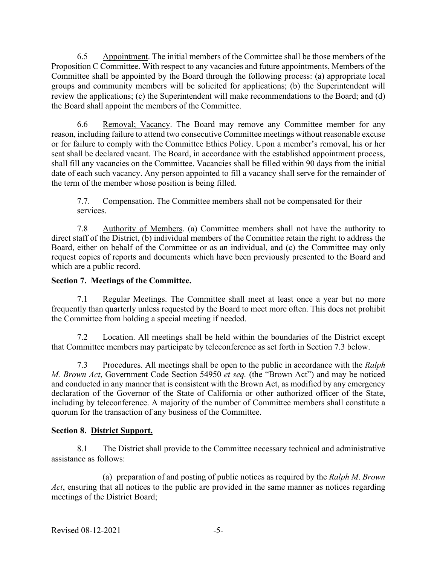6.5 Appointment. The initial members of the Committee shall be those members of the Proposition C Committee. With respect to any vacancies and future appointments, Members of the Committee shall be appointed by the Board through the following process: (a) appropriate local groups and community members will be solicited for applications; (b) the Superintendent will review the applications; (c) the Superintendent will make recommendations to the Board; and (d) the Board shall appoint the members of the Committee.

6.6 Removal; Vacancy. The Board may remove any Committee member for any reason, including failure to attend two consecutive Committee meetings without reasonable excuse or for failure to comply with the Committee Ethics Policy. Upon a member's removal, his or her seat shall be declared vacant. The Board, in accordance with the established appointment process, shall fill any vacancies on the Committee. Vacancies shall be filled within 90 days from the initial date of each such vacancy. Any person appointed to fill a vacancy shall serve for the remainder of the term of the member whose position is being filled.

7.7. Compensation. The Committee members shall not be compensated for their services.

7.8 Authority of Members. (a) Committee members shall not have the authority to direct staff of the District, (b) individual members of the Committee retain the right to address the Board, either on behalf of the Committee or as an individual, and (c) the Committee may only request copies of reports and documents which have been previously presented to the Board and which are a public record.

# **Section 7. Meetings of the Committee.**

7.1 Regular Meetings. The Committee shall meet at least once a year but no more frequently than quarterly unless requested by the Board to meet more often. This does not prohibit the Committee from holding a special meeting if needed.

7.2 Location. All meetings shall be held within the boundaries of the District except that Committee members may participate by teleconference as set forth in Section 7.3 below.

7.3 Procedures. All meetings shall be open to the public in accordance with the *Ralph M. Brown Act*, Government Code Section 54950 *et seq.* (the "Brown Act") and may be noticed and conducted in any manner that is consistent with the Brown Act, as modified by any emergency declaration of the Governor of the State of California or other authorized officer of the State, including by teleconference. A majority of the number of Committee members shall constitute a quorum for the transaction of any business of the Committee.

## **Section 8. District Support.**

8.1 The District shall provide to the Committee necessary technical and administrative assistance as follows:

(a) preparation of and posting of public notices as required by the *Ralph M*. *Brown Act*, ensuring that all notices to the public are provided in the same manner as notices regarding meetings of the District Board;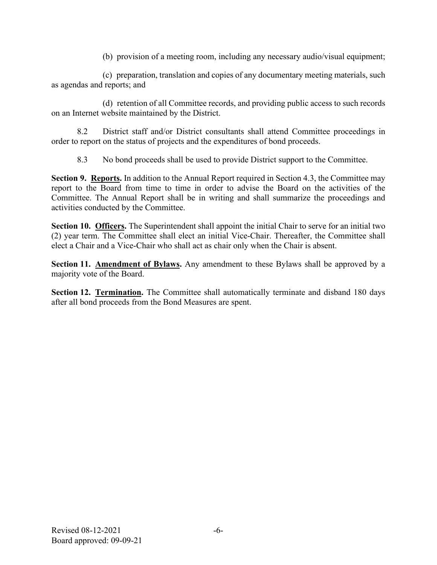(b) provision of a meeting room, including any necessary audio/visual equipment;

(c) preparation, translation and copies of any documentary meeting materials, such as agendas and reports; and

(d) retention of all Committee records, and providing public access to such records on an Internet website maintained by the District.

8.2 District staff and/or District consultants shall attend Committee proceedings in order to report on the status of projects and the expenditures of bond proceeds.

8.3 No bond proceeds shall be used to provide District support to the Committee.

**Section 9. Reports.** In addition to the Annual Report required in Section 4.3, the Committee may report to the Board from time to time in order to advise the Board on the activities of the Committee. The Annual Report shall be in writing and shall summarize the proceedings and activities conducted by the Committee.

**Section 10. Officers.** The Superintendent shall appoint the initial Chair to serve for an initial two (2) year term. The Committee shall elect an initial Vice-Chair. Thereafter, the Committee shall elect a Chair and a Vice-Chair who shall act as chair only when the Chair is absent.

**Section 11. Amendment of Bylaws.** Any amendment to these Bylaws shall be approved by a majority vote of the Board.

**Section 12. Termination.** The Committee shall automatically terminate and disband 180 days after all bond proceeds from the Bond Measures are spent.